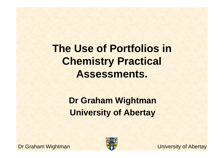**The Use of Portfolios in Chemistry Practical Assessments.** 

> **Dr Graham WightmanUniversity of Abertay**

Dr Graham Wightman



University of Abertay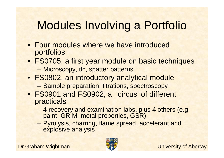# Modules Involving a Portfolio

- Four modules where we have introduced portfolios
- FS0705, a first year module on basic techniques
	- –Microscopy, tlc, spatter patterns
- FS0802, an introductory analytical module
	- –Sample preparation, titrations, spectroscopy
- FS0901 and FS0902, a 'circus' of different practicals
	- – 4 recovery and examination labs, plus 4 others (e.g. paint, GRIM, metal properties, GSR)
	- – Pyrolysis, charring, flame spread, accelerant and explosive analysis

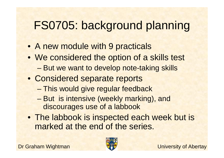# FS0705: background planning

- A new module with 9 practicals
- We considered the option of a skills test
	- and the state of the state But we want to develop note-taking skills
- Considered separate reports
	- and the state of the state This would give regular feedback
	- – But is intensive (weekly marking), and discourages use of a labbook
- The labbook is inspected each week but is marked at the end of the series.

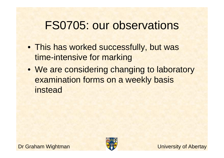### FS0705: our observations

- This has worked successfully, but was time-intensive for marking
- We are considering changing to laboratory examination forms on a weekly basis instead

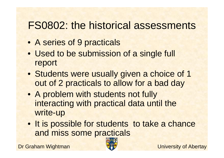### FS0802: the historical assessments

- A series of 9 practicals
- Used to be submission of a single full report
- Students were usually given a choice of 1 out of 2 practicals to allow for a bad day
- A problem with students not fully interacting with practical data until the write-up
- It is possible for students to take a chance and miss some practicals

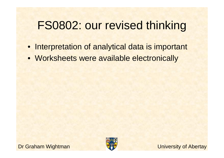### FS0802: our revised thinking

- Interpretation of analytical data is important
- Worksheets were available electronically





University of Abertay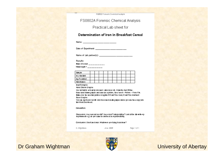FSD3D2 Foreis to C trem to at Atrahets

FS0802A Forensic Chemical Analysis

Practical Lab sheet for

#### Determination of Iron in Breakfast Cereal

Date of Experiment: \_\_\_\_\_\_\_\_\_\_\_\_\_\_\_\_\_\_\_\_\_\_\_\_\_\_\_\_\_\_\_\_

Name of Lab partner(s): Name of Lab partners is a state of the state of the state of the state of the state of

Results

Mass of dereal: \_\_\_\_\_\_\_\_\_

Wavelergti = \_\_\_\_\_\_\_

| Sample       |  |  |  |  |  |  |
|--------------|--|--|--|--|--|--|
| m La tandard |  |  |  |  |  |  |
| Ing Fe added |  |  |  |  |  |  |
| Absorbance   |  |  |  |  |  |  |

hiert Graphi

Hand Drawn Graphi

Use likitiatis note as ligrem oved. Label axes etc. Draw the best fit line. Scar hand drawn graphs and saue as a picture, then insert - Picture - From File. Make sure the inserted picture is legible if it can't be read, it can't be marked i-

Escel Graphs

You can hip it your results into Excelland create graphs which you can then copy into this Word Document.

Calculation.

Direct rion. Any mustalies title? Any errors? Interpretation? Look at the lab write-up requirements eigil do you have to comment on reproducibility.

June 2008

#### Conclusion. Short and clear. What were you trying to achieve?

G.Wightman

Page 1 of 1





University of Abertay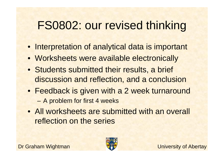## FS0802: our revised thinking

- Interpretation of analytical data is important
- Worksheets were available electronically
- Students submitted their results, a brief discussion and reflection, and a conclusion
- Feedback is given with a 2 week turnaround–A problem for first 4 weeks
- All worksheets are submitted with an overall reflection on the series

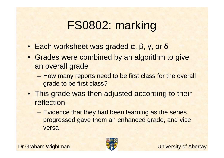# FS0802: marking

- Each worksheet was graded <sup>α</sup>, β, γ, or δ
- Grades were combined by an algorithm to give an overall grade
	- – How many reports need to be first class for the overall grade to be first class?
- This grade was then adjusted according to their reflection
	- – Evidence that they had been learning as the series progressed gave them an enhanced grade, and vice versa

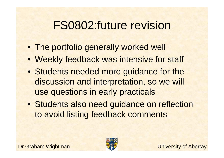# FS0802:future revision

- The portfolio generally worked well
- Weekly feedback was intensive for staff
- Students needed more guidance for the discussion and interpretation, so we will use questions in early practicals
- Students also need guidance on reflection to avoid listing feedback comments

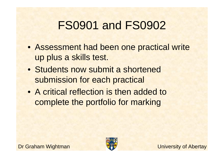# FS0901 and FS0902

- Assessment had been one practical write up plus a skills test.
- Students now submit a shortened submission for each practical
- A critical reflection is then added to complete the portfolio for marking

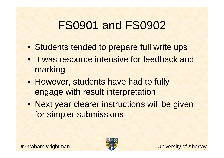# FS0901 and FS0902

- Students tended to prepare full write ups
- It was resource intensive for feedback and marking
- However, students have had to fully engage with result interpretation
- Next year clearer instructions will be given for simpler submissions

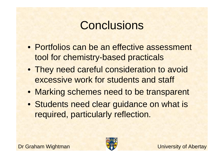# **Conclusions**

- Portfolios can be an effective assessment tool for chemistry-based practicals
- They need careful consideration to avoid excessive work for students and staff
- Marking schemes need to be transparent
- Students need clear guidance on what is required, particularly reflection.

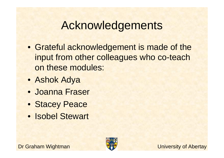# Acknowledgements

- Grateful acknowledgement is made of the input from other colleagues who co-teach on these modules:
- Ashok Adya
- Joanna Fraser
- Stacey Peace
- Isobel Stewart